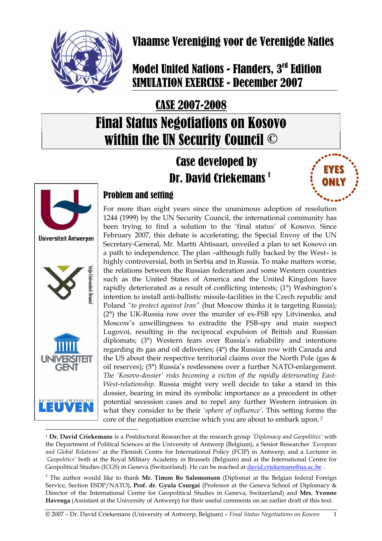

# Vlaamse Vereniging voor de Verenigde Naties

# **Model United Nations - Flanders, 3rd Edition** SIMULATION EXERCISE - December 2007

# CASE 2007-2008 Final Status Negotiations on Kosovo within the UN Security Council ©

# Case developed by Dr. David Criekemans 1





## Problem and setting

For more than eight years since the unanimous adoption of resolution 1244 (1999) by the UN Security Council, the international community has been trying to find a solution to the 'final status' of Kosovo. Since February 2007, this debate is accelerating; the Special Envoy of the UN Secretary-General, Mr. Martti Ahtisaari, unveiled a plan to set Kosovo on a path to independence. The plan –although fully backed by the West– is highly controversial, both in Serbia and in Russia. To make matters worse, the relations between the Russian federation and some Western countries such as the United States of America and the United Kingdom have rapidly deteriorated as a result of conflicting interests; (1°) Washington's intention to install anti-ballistic missile-facilities in the Czech republic and Poland *"to protect against Iran"* (but Moscow thinks it is targeting Russia); (2°) the UK-Russia row over the murder of ex-FSB spy Litvinenko, and Moscow's unwillingness to extradite the FSB-spy and main suspect Lugovoi, resulting in the reciprocal expulsion of British and Russian diplomats; (3°) Western fears over Russia's reliability and intentions regarding its gas and oil deliveries; (4°) the Russian row with Canada and the US about their respective territorial claims over the North Pole (gas  $\&$ oil reserves); (5°) Russia's restlessness over a further NATO-enlargement. *The 'Kosovo-dossier' risks becoming a victim of the rapidly deteriorating East-West-relationship.* Russia might very well decide to take a stand in this dossier, bearing in mind its symbolic importance as a precedent in other potential secession cases and to repel any further Western intrusion in what they consider to be their *'sphere of influence'*. This setting forms the core of the negotiation exercise which you are about to embark upon. 2

 $\overline{a}$ <sup>1</sup> **Dr. David Criekemans** is a Postdoctoral Researcher at the research group *'Diplomacy and Geopolitics'* with the Department of Political Sciences at the University of Antwerp (Belgium), a Senior Researcher *'European and Global Relations'* at the Flemish Centre for International Policy (FCIP) in Antwerp, and a Lecturer in *'Geopolitics'* both at the Royal Military Academy in Brussels (Belgium) and at the International Centre for Geopolitical Studies (ICGS) in Geneva (Switzerland). He can be reached at david.criekemans@ua.ac.be.

<sup>&</sup>lt;sup>2</sup> The author would like to thank Mr. Timon Bo Salomonson (Diplomat at the Belgian federal Foreign Service, Section ESDP/NATO), **Prof. dr. Gyula Csurgai** (Professor at the Geneva School of Diplomacy & Director of the International Centre for Geopolitical Studies in Geneva, Switzerland) and **Mrs. Yvonne Havenga** (Assistant at the University of Antwerp) for their useful comments on an earlier draft of this text.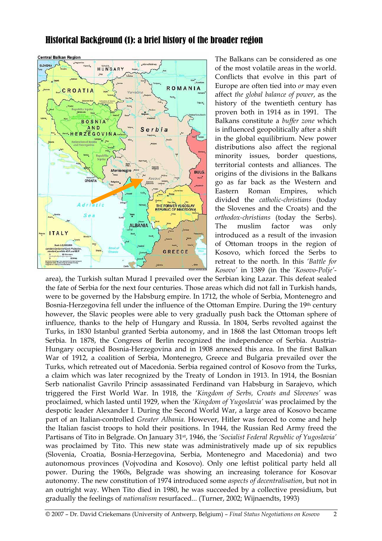## **Central Balkan Region SLOVENU** HUNGARY ROMANIA CROATIA **BOSNIA AND** Serbia HERZEGOVINA Bijelo<br>Prilin Kosovska<br>Mitrovica Montenegro .<sup>86</sup> **BULG.** CROATIA  $110$ THE FORMER YUGOSLAV Ting **ALBANIA** ITALY GREECE

## Historical Background (1): a brief history of the broader region

The Balkans can be considered as one of the most volatile areas in the world. Conflicts that evolve in this part of Europe are often tied into *or* may even affect *the global balance of power*, as the history of the twentieth century has proven both in 1914 as in 1991. The Balkans constitute a *buffer zone* which is influenced geopolitically after a shift in the global equilibrium. New power distributions also affect the regional minority issues, border questions, territorial contests and alliances. The origins of the divisions in the Balkans go as far back as the Western and Eastern Roman Empires, which divided the *catholic-christians* (today the Slovenes and the Croats) and the *orthodox-christians* (today the Serbs). The muslim factor was only introduced as a result of the invasion of Ottoman troops in the region of Kosovo, which forced the Serbs to retreat to the north. In this *'Battle for Kosovo'* in 1389 (in the *'Kosovo-Polje'*-

area), the Turkish sultan Murad I prevailed over the Serbian king Lazar. This defeat sealed the fate of Serbia for the next four centuries. Those areas which did not fall in Turkish hands, were to be governed by the Habsburg empire. In 1712, the whole of Serbia, Montenegro and Bosnia-Herzegovina fell under the influence of the Ottoman Empire. During the 19<sup>th</sup> century however, the Slavic peoples were able to very gradually push back the Ottoman sphere of influence, thanks to the help of Hungary and Russia. In 1804, Serbs revolted against the Turks, in 1830 Istanbul granted Serbia autonomy, and in 1868 the last Ottoman troops left Serbia. In 1878, the Congress of Berlin recognized the independence of Serbia. Austria-Hungary occupied Bosnia-Herzegovina and in 1908 annexed this area. In the first Balkan War of 1912, a coalition of Serbia, Montenegro, Greece and Bulgaria prevailed over the Turks, which retreated out of Macedonia. Serbia regained control of Kosovo from the Turks, a claim which was later recognized by the Treaty of London in 1913. In 1914, the Bosnian Serb nationalist Gavrilo Princip assassinated Ferdinand van Habsburg in Sarajevo, which triggered the First World War. In 1918, the *'Kingdom of Serbs, Croats and Slovenes'* was proclaimed, which lasted until 1929, when the *'Kingdom of Yugoslavia'* was proclaimed by the despotic leader Alexander I. During the Second World War, a large area of Kosovo became part of an Italian-controlled *Greater Albania.* However, Hitler was forced to come and help the Italian fascist troops to hold their positions. In 1944, the Russian Red Army freed the Partisans of Tito in Belgrade. On January 31st, 1946, the *'Socialist Federal Republic of Yugoslavia'* was proclaimed by Tito. This new state was administratively made up of six republics (Slovenia, Croatia, Bosnia-Herzegovina, Serbia, Montenegro and Macedonia) and two autonomous provinces (Vojvodina and Kosovo). Only one leftist political party held all power. During the 1960s, Belgrade was showing an increasing tolerance for Kosovar autonomy. The new constitution of 1974 introduced some *aspects of decentralisation*, but not in an outright way. When Tito died in 1980, he was succeeded by a collective presidium, but gradually the feelings of *nationalism* resurfaced... (Turner, 2002; Wijnaendts, 1993)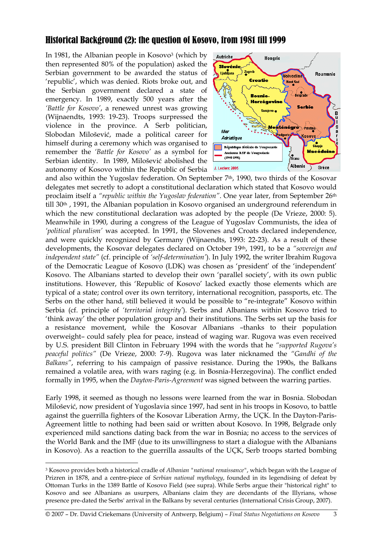## Historical Background (2): the question of Kosovo, from 1981 till 1999

In 1981, the Albanian people in Kosovo3 (which by then represented 80% of the population) asked the Serbian government to be awarded the status of 'republic', which was denied. Riots broke out, and the Serbian government declared a state of emergency. In 1989, exactly 500 years after the *'Battle for Kosovo'*, a renewed unrest was growing (Wijnaendts, 1993: 19-23). Troops surpressed the violence in the province. A Serb politician, Slobodan Milošević, made a political career for himself during a ceremony which was organised to remember the *'Battle for Kosovo'* as a symbol for Serbian identity. In 1989, Milošević abolished the autonomy of Kosovo within the Republic of Serbia



and also within the Yugoslav federation. On September  $7<sup>th</sup>$ , 1990, two thirds of the Kosovar delegates met secretly to adopt a constitutional declaration which stated that Kosovo would proclaim itself a *"republic within the Yugoslav federation"*. One year later, from September 26th till 30th , 1991, the Albanian population in Kosovo organised an underground referendum in which the new constitutional declaration was adopted by the people (De Vrieze, 2000: 5). Meanwhile in 1990, during a congress of the League of Yugoslav Communists, the idea of *'political pluralism'* was accepted. In 1991, the Slovenes and Croats declared independence, and were quickly recognized by Germany (Wijnaendts, 1993: 22-23). As a result of these developments, the Kosovar delegates declared on October 19th, 1991, to be a *"sovereign and independent state"* (cf. principle of *'self-determination'*). In July 1992, the writer Ibrahim Rugova of the Democratic League of Kosovo (LDK) was chosen as 'president' of the 'independent' Kosovo. The Albanians started to develop their own 'parallel society', with its own public institutions. However, this 'Republic of Kosovo' lacked exactly those elements which are typical of a state; control over its own territory, international recognition, passports, etc. The Serbs on the other hand, still believed it would be possible to "re-integrate" Kosovo within Serbia (cf. principle of *'territorial integrity'*). Serbs and Albanians within Kosovo tried to 'think away' the other population group and their institutions. The Serbs set up the basis for a resistance movement, while the Kosovar Albanians –thanks to their population overweight– could safely plea for peace, instead of waging war. Rugova was even received by U.S. president Bill Clinton in February 1994 with the words that he *"supported Rugova's peaceful politics"* (De Vrieze, 2000: 7-9). Rugova was later nicknamed the *"Gandhi of the Balkans"*, referring to his campaign of passive resistance. During the 1990s, the Balkans remained a volatile area, with wars raging (e.g. in Bosnia-Herzegovina). The conflict ended formally in 1995, when the *Dayton-Paris-Agreement* was signed between the warring parties.

Early 1998, it seemed as though no lessons were learned from the war in Bosnia. Slobodan Milošević, now president of Yugoslavia since 1997, had sent in his troops in Kosovo, to battle against the guerrilla fighters of the Kosovar Liberation Army, the UÇK. In the Dayton-Paris-Agreement little to nothing had been said or written about Kosovo. In 1998, Belgrade only experienced mild sanctions dating back from the war in Bosnia; no access to the services of the World Bank and the IMF (due to its unwillingness to start a dialogue with the Albanians in Kosovo). As a reaction to the guerrilla assaults of the UÇK, Serb troops started bombing

 $\overline{a}$ 

<sup>3</sup> Kosovo provides both a historical cradle of *Albanian "national renaissance"*, which began with the League of Prizren in 1878, and a centre-piece of *Serbian national mythology*, founded in its legendising of defeat by Ottoman Turks in the 1389 Battle of Kosovo Field (see supra). While Serbs argue their "historical right" to Kosovo and see Albanians as usurpers, Albanians claim they are decendants of the Illyrians, whose presence pre-dated the Serbs' arrival in the Balkans by several centuries (International Crisis Group, 2007).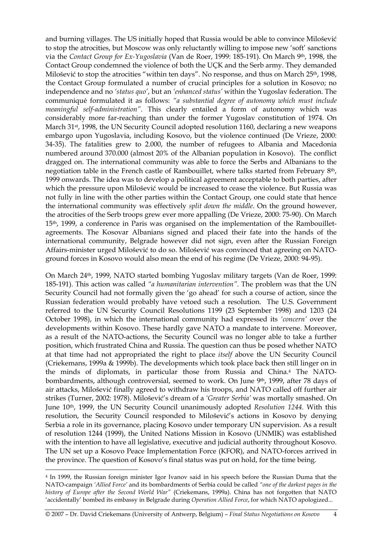and burning villages. The US initially hoped that Russia would be able to convince Milošević to stop the atrocities, but Moscow was only reluctantly willing to impose new 'soft' sanctions via the *Contact Group for Ex-Yugoslavia* (Van de Roer, 1999: 185-191). On March 9th, 1998, the Contact Group condemned the violence of both the UÇK and the Serb army. They demanded Milošević to stop the atrocities "within ten days". No response, and thus on March 25<sup>th</sup>, 1998, the Contact Group formulated a number of crucial principles for a solution in Kosovo; no independence and no *'status quo'*, but an *'enhanced status'* within the Yugoslav federation. The communiqué formulated it as follows: *"a substantial degree of autonomy which must include meaningful self-administration"*. This clearly entailed a form of autonomy which was considerably more far-reaching than under the former Yugoslav constitution of 1974. On March 31st, 1998, the UN Security Council adopted resolution 1160, declaring a new weapons embargo upon Yugoslavia, including Kosovo, but the violence continued (De Vrieze, 2000: 34-35). The fatalities grew to 2.000, the number of refugees to Albania and Macedonia numbered around 370.000 (almost 20% of the Albanian population in Kosovo). The conflict dragged on. The international community was able to force the Serbs and Albanians to the negotiation table in the French castle of Rambouillet, where talks started from February 8th, 1999 onwards. The idea was to develop a political agreement acceptable to both parties, after which the pressure upon Milošević would be increased to cease the violence. But Russia was not fully in line with the other parties within the Contact Group, one could state that hence the international community was effectively *split down the middle*. On the ground however, the atrocities of the Serb troops grew ever more appalling (De Vrieze, 2000: 75-90). On March 15th, 1999, a conference in Paris was organised on the implementation of the Rambouilletagreements. The Kosovar Albanians signed and placed their fate into the hands of the international community, Belgrade however did not sign, even after the Russian Foreign Affairs-minister urged Milošević to do so. Milošević was convinced that agreeing on NATOground forces in Kosovo would also mean the end of his regime (De Vrieze, 2000: 94-95).

On March 24th, 1999, NATO started bombing Yugoslav military targets (Van de Roer, 1999: 185-191). This action was called *"a humanitarian intervention"*. The problem was that the UN Security Council had not formally given the 'go ahead' for such a course of action, since the Russian federation would probably have vetoed such a resolution. The U.S. Government referred to the UN Security Council Resolutions 1199 (23 September 1998) and 1203 (24 October 1998), in which the international community had expressed its *'concern'* over the developments within Kosovo. These hardly gave NATO a mandate to intervene. Moreover, as a result of the NATO-actions, the Security Council was no longer able to take a further position, which frustrated China and Russia. The question can thus be posed whether NATO at that time had not appropriated the right to place *itself* above the UN Security Council (Criekemans, 1999a & 1999b). The developments which took place back then still linger on in the minds of diplomats, in particular those from Russia and China.4 The NATObombardments, although controversial, seemed to work. On June 9th, 1999, after 78 days of air attacks, Milošević finally agreed to withdraw his troops, and NATO called off further air strikes (Turner, 2002: 1978). Milošević's dream of a *'Greater Serbia'* was mortally smashed. On June 10th, 1999, the UN Security Council unanimously adopted *Resolution 1244.* With this resolution, the Security Council responded to Milošević's actions in Kosovo by denying Serbia a role in its governance, placing Kosovo under temporary UN supervision. As a result of resolution 1244 (1999), the United Nations Mission in Kosovo (UNMIK) was established with the intention to have all legislative, executive and judicial authority throughout Kosovo. The UN set up a Kosovo Peace Implementation Force (KFOR), and NATO-forces arrived in the province. The question of Kosovo's final status was put on hold, for the time being.

 $\overline{a}$ 

<sup>4</sup> In 1999, the Russian foreign minister Igor Ivanov said in his speech before the Russian Duma that the NATO-campaign *'Allied Force'* and its bombardments of Serbia could be called *"one of the darkest pages in the history of Europe after the Second World War"* (Criekemans, 1999a). China has not forgotten that NATO 'accidentally' bombed its embassy in Belgrade during *Operation Allied Force*, for which NATO apologized...

<sup>© 2007 –</sup> Dr. David Criekemans (University of Antwerp, Belgium) – *Final Status Negotiations on Kosovo* 4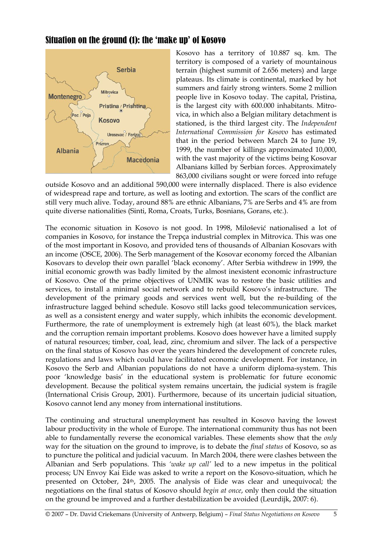## Situation on the ground (1): the 'make up' of Kosovo



Kosovo has a territory of 10.887 sq. km. The territory is composed of a variety of mountainous terrain (highest summit of 2.656 meters) and large plateaus. Its climate is continental, marked by hot summers and fairly strong winters. Some 2 million people live in Kosovo today. The capital, Pristina, is the largest city with 600.000 inhabitants. Mitrovica, in which also a Belgian military detachment is stationed, is the third largest city. The *Independent International Commission for Kosovo* has estimated that in the period between March 24 to June 19, 1999, the number of killings approximated 10,000, with the vast majority of the victims being Kosovar Albanians killed by Serbian forces. Approximately 863,000 civilians sought or were forced into refuge

outside Kosovo and an additional 590,000 were internally displaced. There is also evidence of widespread rape and torture, as well as looting and extortion. The scars of the conflict are still very much alive. Today, around 88% are ethnic Albanians, 7% are Serbs and 4% are from quite diverse nationalities (Sinti, Roma, Croats, Turks, Bosnians, Gorans, etc.).

The economic situation in Kosovo is not good. In 1998, Milošević nationalised a lot of companies in Kosovo, for instance the Trepça industrial complex in Mitrovica. This was one of the most important in Kosovo, and provided tens of thousands of Albanian Kosovars with an income (OSCE, 2006). The Serb management of the Kosovar economy forced the Albanian Kosovars to develop their own parallel 'black economy'. After Serbia withdrew in 1999, the initial economic growth was badly limited by the almost inexistent economic infrastructure of Kosovo. One of the prime objectives of UNMIK was to restore the basic utilities and services, to install a minimal social network and to rebuild Kosovo's infrastructure. The development of the primary goods and services went well, but the re-building of the infrastructure lagged behind schedule. Kosovo still lacks good telecommunication services, as well as a consistent energy and water supply, which inhibits the economic development. Furthermore, the rate of unemployment is extremely high (at least 60%), the black market and the corruption remain important problems. Kosovo does however have a limited supply of natural resources; timber, coal, lead, zinc, chromium and silver. The lack of a perspective on the final status of Kosovo has over the years hindered the development of concrete rules, regulations and laws which could have facilitated economic development. For instance, in Kosovo the Serb and Albanian populations do not have a uniform diploma-system. This poor 'knowledge basis' in the educational system is problematic for future economic development. Because the political system remains uncertain, the judicial system is fragile (International Crisis Group, 2001). Furthermore, because of its uncertain judicial situation, Kosovo cannot lend any money from international institutions.

The continuing and structural unemployment has resulted in Kosovo having the lowest labour productivity in the whole of Europe. The international community thus has not been able to fundamentally reverse the economical variables. These elements show that the *only* way for the situation on the ground to improve, is to debate the *final status* of Kosovo, so as to puncture the political and judicial vacuum. In March 2004, there were clashes between the Albanian and Serb populations. This *'wake up call'* led to a new impetus in the political process; UN Envoy Kai Eide was asked to write a report on the Kosovo-situation, which he presented on October, 24th, 2005. The analysis of Eide was clear and unequivocal; the negotiations on the final status of Kosovo should *begin at once*, only then could the situation on the ground be improved and a further destabilization be avoided (Leurdijk, 2007: 6).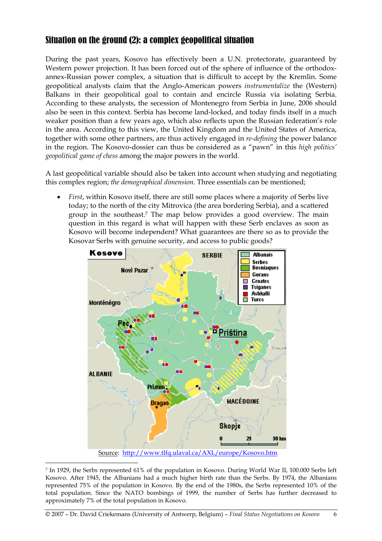## Situation on the ground (2): a complex geopolitical situation

During the past years, Kosovo has effectively been a U.N. protectorate, guaranteed by Western power projection. It has been forced out of the sphere of influence of the orthodoxannex-Russian power complex, a situation that is difficult to accept by the Kremlin. Some geopolitical analysts claim that the Anglo-American powers *instrumentalize* the (Western) Balkans in their geopolitical goal to contain and encircle Russia via isolating Serbia. According to these analysts, the secession of Montenegro from Serbia in June, 2006 should also be seen in this context. Serbia has become land-locked, and today finds itself in a much weaker position than a few years ago, which also reflects upon the Russian federation's role in the area. According to this view, the United Kingdom and the United States of America, together with some other partners, are thus actively engaged in *re-defining* the power balance in the region. The Kosovo-dossier can thus be considered as a "pawn" in this *high politics' geopolitical game of chess* among the major powers in the world.

A last geopolitical variable should also be taken into account when studying and negotiating this complex region; *the demographical dimension*. Three essentials can be mentioned;

• *First*, within Kosovo itself, there are still some places where a majority of Serbs live today; to the north of the city Mitrovica (the area bordering Serbia), and a scattered group in the southeast.7 The map below provides a good overview. The main question in this regard is what will happen with these Serb enclaves as soon as Kosovo will become independent? What guarantees are there so as to provide the Kosovar Serbs with genuine security, and access to public goods?



Source: http://www.tlfq.ulaval.ca/AXL/europe/Kosovo.htm

 $\overline{a}$ 

<sup>7</sup> In 1929, the Serbs represented 61% of the population in Kosovo. During World War II, 100.000 Serbs left Kosovo. After 1945, the Albanians had a much higher birth rate than the Serbs. By 1974, the Albanians represented 75% of the population in Kosovo. By the end of the 1980s, the Serbs represented 10% of the total population. Since the NATO bombings of 1999, the number of Serbs has further decreased to approximately 7% of the total population in Kosovo.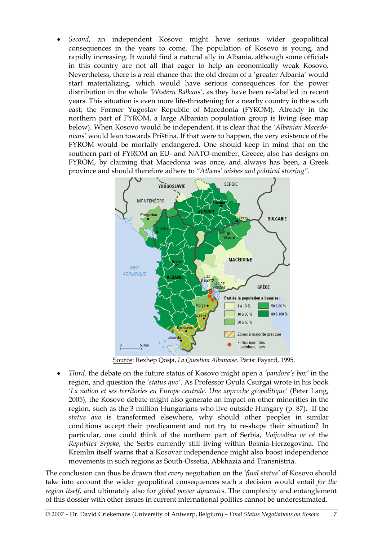• *Second*, an independent Kosovo might have serious wider geopolitical consequences in the years to come. The population of Kosovo is young, and rapidly increasing. It would find a natural ally in Albania, although some officials in this country are not all that eager to help an economically weak Kosovo. Nevertheless, there is a real chance that the old dream of a 'greater Albania' would start materializing, which would have serious consequences for the power distribution in the whole *'Western Balkans'*, as they have been re-labelled in recent years. This situation is even more life-threatening for a nearby country in the south east; the Former Yugoslav Republic of Macedonia (FYROM). Already in the northern part of FYROM, a large Albanian population group is living (see map below). When Kosovo would be independent, it is clear that the *'Albanian Macedonians'* would lean towards Priština. If that were to happen, the very existence of the FYROM would be mortally endangered. One should keep in mind that on the southern part of FYROM an EU- and NATO-member, Greece, also has designs on FYROM, by claiming that Macedonia was once, and always has been, a Greek province and should therefore adhere to *"Athens' wishes and political steering"*.



Source: Rexhep Qosja, *La Question Albanaise.* Paris: Fayard, 1995.

• *Third,* the debate on the future status of Kosovo might open a *'pandora's box'* in the region, and question the *'status quo'*. As Professor Gyula Csurgai wrote in his book *'La nation et ses territories en Europe centrale. Une approche géopolitique'* (Peter Lang, 2005), the Kosovo debate might also generate an impact on other minorities in the region, such as the 3 million Hungarians who live outside Hungary (p. 87). If the *status quo* is transformed elsewhere, why should other peoples in similar conditions accept their predicament and not try to re-shape their situation? In particular, one could think of the northern part of Serbia, *Voijvodina or* of the *Republica Srpska*, the Serbs currently still living within Bosnia-Herzegovina. The Kremlin itself warns that a Kosovar independence might also boost independence movements in such regions as South-Ossetia, Abkhazia and Transnistria.

The conclusion can thus be drawn that *every* negotiation on the *'final status'* of Kosovo should take into account the wider geopolitical consequences such a decision would entail *for the region itself*, and ultimately also for *global power dynamics*. The complexity and entanglement of this dossier with other issues in current international politics cannot be underestimated.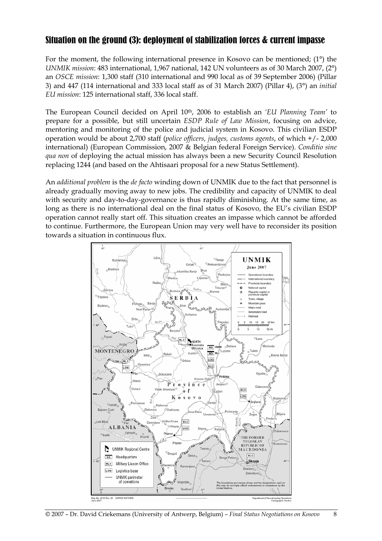## Situation on the ground (3): deployment of stabilization forces & current impasse

For the moment, the following international presence in Kosovo can be mentioned; (1°) the *UNMIK mission*: 483 international, 1,967 national, 142 UN volunteers as of 30 March 2007, (2°) an *OSCE mission*: 1,300 staff (310 international and 990 local as of 39 September 2006) (Pillar 3) and 447 (114 international and 333 local staff as of 31 March 2007) (Pillar 4), (3°) an *initial EU mission*: 125 international staff, 336 local staff.

The European Council decided on April 10th, 2006 to establish an *'EU Planning Team'* to prepare for a possible, but still uncertain *ESDP Rule of Law Mission*, focusing on advice, mentoring and monitoring of the police and judicial system in Kosovo. This civilian ESDP operation would be about 2,700 staff (*police officers, judges, customs agents*, of which +/- 2,000 international) (European Commission, 2007 & Belgian federal Foreign Service). *Conditio sine qua non* of deploying the actual mission has always been a new Security Council Resolution replacing 1244 (and based on the Ahtisaari proposal for a new Status Settlement).

An *additional problem* is the *de facto* winding down of UNMIK due to the fact that personnel is already gradually moving away to new jobs. The credibility and capacity of UNMIK to deal with security and day-to-day-governance is thus rapidly diminishing. At the same time, as long as there is no international deal on the final status of Kosovo, the EU's civilian ESDP operation cannot really start off. This situation creates an impasse which cannot be afforded to continue. Furthermore, the European Union may very well have to reconsider its position towards a situation in continuous flux.

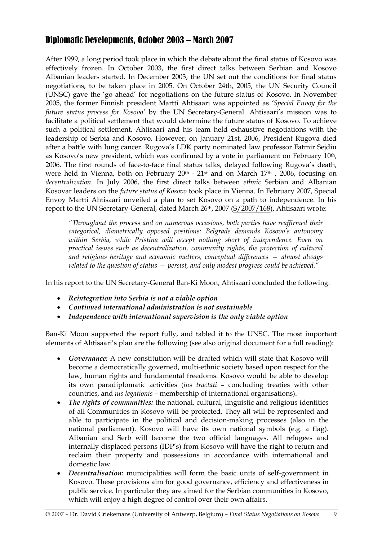## Diplomatic Developments, October 2003 – March 2007

After 1999, a long period took place in which the debate about the final status of Kosovo was effectively frozen. In October 2003, the first direct talks between Serbian and Kosovo Albanian leaders started. In December 2003, the UN set out the conditions for final status negotiations, to be taken place in 2005. On October 24th, 2005, the UN Security Council (UNSC) gave the 'go ahead' for negotiations on the future status of Kosovo. In November 2005, the former Finnish president Martti Ahtisaari was appointed as *'Special Envoy for the future status process for Kosovo'* by the UN Secretary-General. Ahtisaari's mission was to facilitate a political settlement that would determine the future status of Kosovo. To achieve such a political settlement, Ahtisaari and his team held exhaustive negotiations with the leadership of Serbia and Kosovo. However, on January 21st, 2006, President Rugova died after a battle with lung cancer. Rugova's LDK party nominated law professor Fatmir Sejdiu as Kosovo's new president, which was confirmed by a vote in parliament on February 10<sup>th</sup>, 2006. The first rounds of face-to-face final status talks, delayed following Rugova's death, were held in Vienna, both on February 20<sup>th</sup> - 21<sup>st</sup> and on March 17<sup>th</sup>, 2006, focusing on *decentralization*. In July 2006, the first direct talks between *ethnic* Serbian and Albanian Kosovar leaders on the *future status of Kosovo* took place in Vienna. In February 2007, Special Envoy Martti Ahtisaari unveiled a plan to set Kosovo on a path to independence. In his report to the UN Secretary-General, dated March 26th, 2007 (S/2007/168), Ahtisaari wrote:

*"Throughout the process and on numerous occasions, both parties have reaffirmed their categorical, diametrically opposed positions: Belgrade demands Kosovo's autonomy*  within Serbia, while Pristina will accept nothing short of independence. Even on *practical issues such as decentralization, community rights, the protection of cultural and religious heritage and economic matters, conceptual differences — almost always related to the question of status — persist, and only modest progress could be achieved."* 

In his report to the UN Secretary-General Ban-Ki Moon, Ahtisaari concluded the following:

- *Reintegration into Serbia is not a viable option*
- *Continued international administration is not sustainable*
- *Independence with international supervision is the only viable option*

Ban-Ki Moon supported the report fully, and tabled it to the UNSC. The most important elements of Ahtisaari's plan are the following (see also original document for a full reading):

- *Governance:* A new constitution will be drafted which will state that Kosovo will become a democratically governed, multi-ethnic society based upon respect for the law, human rights and fundamental freedoms. Kosovo would be able to develop its own paradiplomatic activities (*ius tractati* – concluding treaties with other countries, and *ius legationis* – membership of international organisations).
- *The rights of communities:* the national, cultural, linguistic and religious identities of all Communities in Kosovo will be protected. They all will be represented and able to participate in the political and decision-making processes (also in the national parliament). Kosovo will have its own national symbols (e.g. a flag). Albanian and Serb will become the two official languages. All refugees and internally displaced persons (IDP's) from Kosovo will have the right to return and reclaim their property and possessions in accordance with international and domestic law.
- *Decentralisation:* municipalities will form the basic units of self-government in Kosovo. These provisions aim for good governance, efficiency and effectiveness in public service. In particular they are aimed for the Serbian communities in Kosovo, which will enjoy a high degree of control over their own affairs.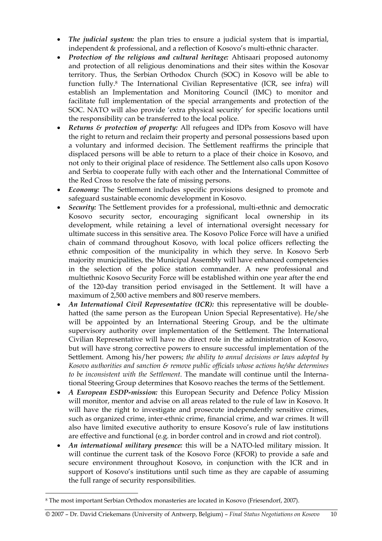- *The judicial system:* the plan tries to ensure a judicial system that is impartial, independent & professional, and a reflection of Kosovo's multi-ethnic character.
- *Protection of the religious and cultural heritage:* Ahtisaari proposed autonomy and protection of all religious denominations and their sites within the Kosovar territory. Thus, the Serbian Orthodox Church (SOC) in Kosovo will be able to function fully.8 The International Civilian Representative (ICR, see infra) will establish an Implementation and Monitoring Council (IMC) to monitor and facilitate full implementation of the special arrangements and protection of the SOC. NATO will also provide 'extra physical security' for specific locations until the responsibility can be transferred to the local police.
- *Returns & protection of property:* All refugees and IDPs from Kosovo will have the right to return and reclaim their property and personal possessions based upon a voluntary and informed decision. The Settlement reaffirms the principle that displaced persons will be able to return to a place of their choice in Kosovo, and not only to their original place of residence. The Settlement also calls upon Kosovo and Serbia to cooperate fully with each other and the International Committee of the Red Cross to resolve the fate of missing persons.
- *Economy:* The Settlement includes specific provisions designed to promote and safeguard sustainable economic development in Kosovo.
- *Security:* The Settlement provides for a professional, multi-ethnic and democratic Kosovo security sector, encouraging significant local ownership in its development, while retaining a level of international oversight necessary for ultimate success in this sensitive area. The Kosovo Police Force will have a unified chain of command throughout Kosovo, with local police officers reflecting the ethnic composition of the municipality in which they serve. In Kosovo Serb majority municipalities, the Municipal Assembly will have enhanced competencies in the selection of the police station commander. A new professional and multiethnic Kosovo Security Force will be established within one year after the end of the 120-day transition period envisaged in the Settlement. It will have a maximum of 2,500 active members and 800 reserve members.
- *An International Civil Representative (ICR):* this representative will be doublehatted (the same person as the European Union Special Representative). He/she will be appointed by an International Steering Group, and be the ultimate supervisory authority over implementation of the Settlement. The International Civilian Representative will have no direct role in the administration of Kosovo, but will have strong corrective powers to ensure successful implementation of the Settlement. Among his/her powers; *the ability to annul decisions or laws adopted by Kosovo authorities and sanction & remove public officials whose actions he/she determines to be inconsistent with the Settlement*. The mandate will continue until the International Steering Group determines that Kosovo reaches the terms of the Settlement.
- *A European ESDP-mission:* this European Security and Defence Policy Mission will monitor, mentor and advise on all areas related to the rule of law in Kosovo. It will have the right to investigate and prosecute independently sensitive crimes, such as organized crime, inter-ethnic crime, financial crime, and war crimes. It will also have limited executive authority to ensure Kosovo's rule of law institutions are effective and functional (e.g. in border control and in crowd and riot control).
- *An international military presence:* this will be a NATO-led military mission. It will continue the current task of the Kosovo Force (KFOR) to provide a safe and secure environment throughout Kosovo, in conjunction with the ICR and in support of Kosovo's institutions until such time as they are capable of assuming the full range of security responsibilities.

 $\overline{a}$ 

<sup>8</sup> The most important Serbian Orthodox monasteries are located in Kosovo (Friesendorf, 2007).

<sup>© 2007 –</sup> Dr. David Criekemans (University of Antwerp, Belgium) – *Final Status Negotiations on Kosovo* 10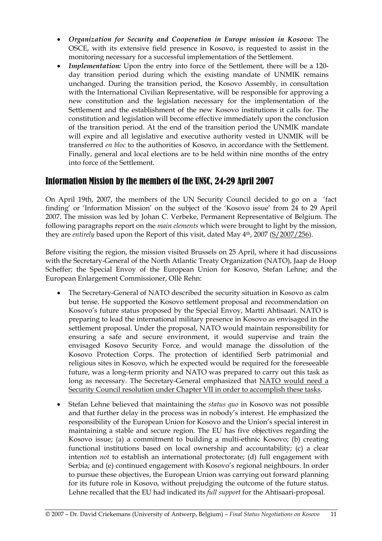- *Organization for Security and Cooperation in Europe mission in Kosovo:* The OSCE, with its extensive field presence in Kosovo, is requested to assist in the monitoring necessary for a successful implementation of the Settlement.
- *Implementation:* Upon the entry into force of the Settlement, there will be a 120 day transition period during which the existing mandate of UNMIK remains unchanged. During the transition period, the Kosovo Assembly, in consultation with the International Civilian Representative, will be responsible for approving a new constitution and the legislation necessary for the implementation of the Settlement and the establishment of the new Kosovo institutions it calls for. The constitution and legislation will become effective immediately upon the conclusion of the transition period. At the end of the transition period the UNMIK mandate will expire and all legislative and executive authority vested in UNMIK will be transferred *en bloc* to the authorities of Kosovo, in accordance with the Settlement. Finally, general and local elections are to be held within nine months of the entry into force of the Settlement.

## Information Mission by the members of the UNSC, 24-29 April 2007

On April 19th, 2007, the members of the UN Security Council decided to go on a 'fact finding' or 'Information Mission' on the subject of the 'Kosovo issue' from 24 to 29 April 2007. The mission was led by Johan C. Verbeke, Permanent Representative of Belgium. The following paragraphs report on the *main elements* which were brought to light by the mission, they are *entirely* based upon the Report of this visit, dated May 4th, 2007 (S/2007/256).

Before visiting the region, the mission visited Brussels on 25 April, where it had discussions with the Secretary-General of the North Atlantic Treaty Organization (NATO), Jaap de Hoop Scheffer; the Special Envoy of the European Union for Kosovo, Stefan Lehne; and the European Enlargement Commissioner, Ollè Rehn:

- The Secretary-General of NATO described the security situation in Kosovo as calm but tense. He supported the Kosovo settlement proposal and recommendation on Kosovo's future status proposed by the Special Envoy, Martti Ahtisaari. NATO is preparing to lead the international military presence in Kosovo as envisaged in the settlement proposal. Under the proposal, NATO would maintain responsibility for ensuring a safe and secure environment, it would supervise and train the envisaged Kosovo Security Force, and would manage the dissolution of the Kosovo Protection Corps. The protection of identified Serb patrimonial and religious sites in Kosovo, which he expected would be required for the foreseeable future, was a long-term priority and NATO was prepared to carry out this task as long as necessary. The Secretary-General emphasized that NATO would need a Security Council resolution under Chapter VII in order to accomplish these tasks.
- Stefan Lehne believed that maintaining the *status quo* in Kosovo was not possible and that further delay in the process was in nobody's interest. He emphasized the responsibility of the European Union for Kosovo and the Union's special interest in maintaining a stable and secure region. The EU has five objectives regarding the Kosovo issue; (a) a commitment to building a multi-ethnic Kosovo; (b) creating functional institutions based on local ownership and accountability; (c) a clear intention *not* to establish an international protectorate; (d) full engagement with Serbia; and (e) continued engagement with Kosovo's regional neighbours. In order to pursue these objectives, the European Union was carrying out forward planning for its future role in Kosovo, without prejudging the outcome of the future status. Lehne recalled that the EU had indicated its *full support* for the Ahtisaari-proposal.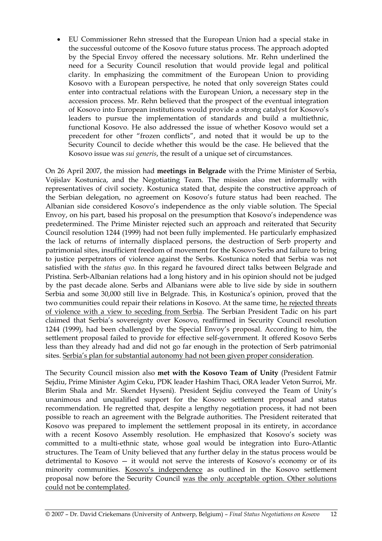• EU Commissioner Rehn stressed that the European Union had a special stake in the successful outcome of the Kosovo future status process. The approach adopted by the Special Envoy offered the necessary solutions. Mr. Rehn underlined the need for a Security Council resolution that would provide legal and political clarity. In emphasizing the commitment of the European Union to providing Kosovo with a European perspective, he noted that only sovereign States could enter into contractual relations with the European Union, a necessary step in the accession process. Mr. Rehn believed that the prospect of the eventual integration of Kosovo into European institutions would provide a strong catalyst for Kosovo's leaders to pursue the implementation of standards and build a multiethnic, functional Kosovo. He also addressed the issue of whether Kosovo would set a precedent for other "frozen conflicts", and noted that it would be up to the Security Council to decide whether this would be the case. He believed that the Kosovo issue was *sui generis*, the result of a unique set of circumstances.

On 26 April 2007, the mission had **meetings in Belgrade** with the Prime Minister of Serbia, Vojislav Kostunica, and the Negotiating Team. The mission also met informally with representatives of civil society. Kostunica stated that, despite the constructive approach of the Serbian delegation, no agreement on Kosovo's future status had been reached. The Albanian side considered Kosovo's independence as the only viable solution. The Special Envoy, on his part, based his proposal on the presumption that Kosovo's independence was predetermined. The Prime Minister rejected such an approach and reiterated that Security Council resolution 1244 (1999) had not been fully implemented. He particularly emphasized the lack of returns of internally displaced persons, the destruction of Serb property and patrimonial sites, insufficient freedom of movement for the Kosovo Serbs and failure to bring to justice perpetrators of violence against the Serbs. Kostunica noted that Serbia was not satisfied with the *status quo*. In this regard he favoured direct talks between Belgrade and Pristina. Serb-Albanian relations had a long history and in his opinion should not be judged by the past decade alone. Serbs and Albanians were able to live side by side in southern Serbia and some 30,000 still live in Belgrade. This, in Kostunica's opinion, proved that the two communities could repair their relations in Kosovo. At the same time, he rejected threats of violence with a view to seceding from Serbia. The Serbian President Tadic on his part claimed that Serbia's sovereignty over Kosovo, reaffirmed in Security Council resolution 1244 (1999), had been challenged by the Special Envoy's proposal. According to him, the settlement proposal failed to provide for effective self-government. It offered Kosovo Serbs less than they already had and did not go far enough in the protection of Serb patrimonial sites. Serbia's plan for substantial autonomy had not been given proper consideration.

The Security Council mission also **met with the Kosovo Team of Unity** (President Fatmir Sejdiu, Prime Minister Agim Ceku, PDK leader Hashim Thaci, ORA leader Veton Surroi, Mr. Blerim Shala and Mr. Skendet Hyseni). President Sejdiu conveyed the Team of Unity's unanimous and unqualified support for the Kosovo settlement proposal and status recommendation. He regretted that, despite a lengthy negotiation process, it had not been possible to reach an agreement with the Belgrade authorities. The President reiterated that Kosovo was prepared to implement the settlement proposal in its entirety, in accordance with a recent Kosovo Assembly resolution. He emphasized that Kosovo's society was committed to a multi-ethnic state, whose goal would be integration into Euro-Atlantic structures. The Team of Unity believed that any further delay in the status process would be detrimental to Kosovo — it would not serve the interests of Kosovo's economy or of its minority communities. Kosovo's independence as outlined in the Kosovo settlement proposal now before the Security Council was the only acceptable option. Other solutions could not be contemplated.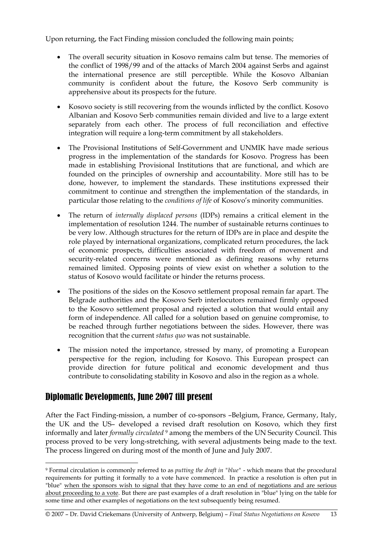Upon returning, the Fact Finding mission concluded the following main points;

- The overall security situation in Kosovo remains calm but tense. The memories of the conflict of 1998/99 and of the attacks of March 2004 against Serbs and against the international presence are still perceptible. While the Kosovo Albanian community is confident about the future, the Kosovo Serb community is apprehensive about its prospects for the future.
- Kosovo society is still recovering from the wounds inflicted by the conflict. Kosovo Albanian and Kosovo Serb communities remain divided and live to a large extent separately from each other. The process of full reconciliation and effective integration will require a long-term commitment by all stakeholders.
- The Provisional Institutions of Self-Government and UNMIK have made serious progress in the implementation of the standards for Kosovo. Progress has been made in establishing Provisional Institutions that are functional, and which are founded on the principles of ownership and accountability. More still has to be done, however, to implement the standards. These institutions expressed their commitment to continue and strengthen the implementation of the standards, in particular those relating to the *conditions of life* of Kosovo's minority communities.
- The return of *internally displaced persons* (IDPs) remains a critical element in the implementation of resolution 1244. The number of sustainable returns continues to be very low. Although structures for the return of IDPs are in place and despite the role played by international organizations, complicated return procedures, the lack of economic prospects, difficulties associated with freedom of movement and security-related concerns were mentioned as defining reasons why returns remained limited. Opposing points of view exist on whether a solution to the status of Kosovo would facilitate or hinder the returns process.
- The positions of the sides on the Kosovo settlement proposal remain far apart. The Belgrade authorities and the Kosovo Serb interlocutors remained firmly opposed to the Kosovo settlement proposal and rejected a solution that would entail any form of independence. All called for a solution based on genuine compromise, to be reached through further negotiations between the sides. However, there was recognition that the current *status quo* was not sustainable.
- The mission noted the importance, stressed by many, of promoting a European perspective for the region, including for Kosovo. This European prospect can provide direction for future political and economic development and thus contribute to consolidating stability in Kosovo and also in the region as a whole.

## Diplomatic Developments, June 2007 till present

 $\overline{a}$ 

After the Fact Finding-mission, a number of co-sponsors –Belgium, France, Germany, Italy, the UK and the US– developed a revised draft resolution on Kosovo, which they first informally and later *formally circulated* 9 among the members of the UN Security Council. This process proved to be very long-stretching, with several adjustments being made to the text. The process lingered on during most of the month of June and July 2007.

<sup>9</sup> Formal circulation is commonly referred to as *putting the draft in "blue"* - which means that the procedural requirements for putting it formally to a vote have commenced. In practice a resolution is often put in "blue" when the sponsors wish to signal that they have come to an end of negotiations and are serious about proceeding to a vote. But there are past examples of a draft resolution in "blue" lying on the table for some time and other examples of negotiations on the text subsequently being resumed.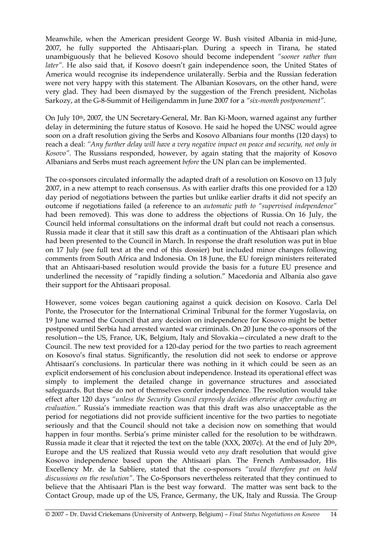Meanwhile, when the American president George W. Bush visited Albania in mid-June, 2007, he fully supported the Ahtisaari-plan. During a speech in Tirana, he stated unambiguously that he believed Kosovo should become independent *"sooner rather than later"*. He also said that, if Kosovo doesn't gain independence soon, the United States of America would recognise its independence unilaterally. Serbia and the Russian federation were not very happy with this statement. The Albanian Kosovars, on the other hand, were very glad. They had been dismayed by the suggestion of the French president, Nicholas Sarkozy, at the G-8-Summit of Heiligendamm in June 2007 for a *"six-month postponement"*.

On July 10th, 2007, the UN Secretary-General, Mr. Ban Ki-Moon, warned against any further delay in determining the future status of Kosovo. He said he hoped the UNSC would agree soon on a draft resolution giving the Serbs and Kosovo Albanians four months (120 days) to reach a deal: *"Any further delay will have a very negative impact on peace and security, not only in Kosovo".* The Russians responded, however, by again stating that the majority of Kosovo Albanians and Serbs must reach agreement *before* the UN plan can be implemented.

The co-sponsors circulated informally the adapted draft of a resolution on Kosovo on 13 July 2007, in a new attempt to reach consensus. As with earlier drafts this one provided for a 120 day period of negotiations between the parties but unlike earlier drafts it did not specify an outcome if negotiations failed (a reference to an *automatic path to "supervised independence"* had been removed). This was done to address the objections of Russia. On 16 July, the Council held informal consultations on the informal draft but could not reach a consensus. Russia made it clear that it still saw this draft as a continuation of the Ahtisaari plan which had been presented to the Council in March. In response the draft resolution was put in blue on 17 July (see full text at the end of this dossier) but included minor changes following comments from South Africa and Indonesia. On 18 June, the EU foreign ministers reiterated that an Ahtisaari-based resolution would provide the basis for a future EU presence and underlined the necessity of "rapidly finding a solution." Macedonia and Albania also gave their support for the Ahtisaari proposal.

However, some voices began cautioning against a quick decision on Kosovo. Carla Del Ponte, the Prosecutor for the International Criminal Tribunal for the former Yugoslavia, on 19 June warned the Council that any decision on independence for Kosovo might be better postponed until Serbia had arrested wanted war criminals. On 20 June the co-sponsors of the resolution—the US, France, UK, Belgium, Italy and Slovakia—circulated a new draft to the Council. The new text provided for a 120-day period for the two parties to reach agreement on Kosovo's final status. Significantly, the resolution did not seek to endorse or approve Ahtisaari's conclusions. In particular there was nothing in it which could be seen as an explicit endorsement of his conclusion about independence. Instead its operational effect was simply to implement the detailed change in governance structures and associated safeguards. But these do not of themselves confer independence. The resolution would take effect after 120 days *"unless the Security Council expressly decides otherwise after conducting an evaluation."* Russia's immediate reaction was that this draft was also unacceptable as the period for negotiations did not provide sufficient incentive for the two parties to negotiate seriously and that the Council should not take a decision now on something that would happen in four months. Serbia's prime minister called for the resolution to be withdrawn. Russia made it clear that it rejected the text on the table (XXX, 2007c). At the end of July 20<sup>th</sup>, Europe and the US realized that Russia would veto *any* draft resolution that would give Kosovo independence based upon the Ahtisaari plan. The French Ambassador, His Excellency Mr. de la Sabliere, stated that the co-sponsors *"would therefore put on hold discussions on the resolution"*. The Co-Sponsors nevertheless reiterated that they continued to believe that the Ahtisaari Plan is the best way forward. The matter was sent back to the Contact Group, made up of the US, France, Germany, the UK, Italy and Russia. The Group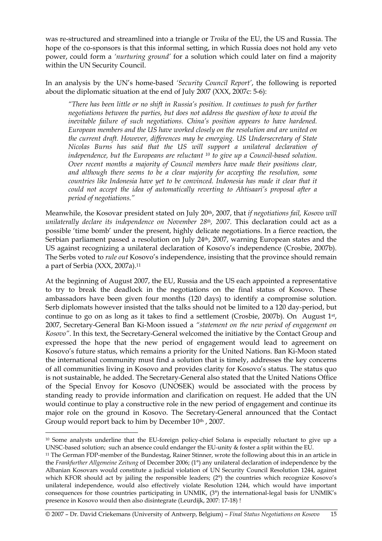was re-structured and streamlined into a triangle or *Troika* of the EU, the US and Russia. The hope of the co-sponsors is that this informal setting, in which Russia does not hold any veto power, could form a *'nurturing ground'* for a solution which could later on find a majority within the UN Security Council.

In an analysis by the UN's home-based *'Security Council Report'*, the following is reported about the diplomatic situation at the end of July 2007 (XXX, 2007c: 5-6):

*"There has been little or no shift in Russia's position. It continues to push for further negotiations between the parties, but does not address the question of how to avoid the inevitable failure of such negotiations. China's position appears to have hardened. European members and the US have worked closely on the resolution and are united on the current draft. However, differences may be emerging. US Undersecretary of State Nicolas Burns has said that the US will support a unilateral declaration of independence, but the Europeans are reluctant 10 to give up a Council-based solution. Over recent months a majority of Council members have made their positions clear, and although there seems to be a clear majority for accepting the resolution, some countries like Indonesia have yet to be convinced. Indonesia has made it clear that it could not accept the idea of automatically reverting to Ahtisaari's proposal after a period of negotiations."* 

Meanwhile, the Kosovar president stated on July 20th, 2007, that *if negotiations fail, Kosovo will unilaterally declare its independence on November 28<sup>th</sup>, 2007*. This declaration could act as a possible 'time bomb' under the present, highly delicate negotiations. In a fierce reaction, the Serbian parliament passed a resolution on July 24<sup>th</sup>, 2007, warning European states and the US against recognizing a unilateral declaration of Kosovo's independence (Crosbie, 2007b). The Serbs voted to *rule out* Kosovo's independence, insisting that the province should remain a part of Serbia (XXX, 2007a).11

At the beginning of August 2007, the EU, Russia and the US each appointed a representative to try to break the deadlock in the negotiations on the final status of Kosovo. These ambassadors have been given four months (120 days) to identify a compromise solution. Serb diplomats however insisted that the talks should not be limited to a 120 day-period, but continue to go on as long as it takes to find a settlement (Crosbie, 2007b). On August 1st, 2007, Secretary-General Ban Ki-Moon issued a *"statement on the new period of engagement on Kosovo"*. In this text, the Secretary-General welcomed the initiative by the Contact Group and expressed the hope that the new period of engagement would lead to agreement on Kosovo's future status, which remains a priority for the United Nations. Ban Ki-Moon stated the international community must find a solution that is timely, addresses the key concerns of all communities living in Kosovo and provides clarity for Kosovo's status. The status quo is not sustainable, he added. The Secretary-General also stated that the United Nations Office of the Special Envoy for Kosovo (UNOSEK) would be associated with the process by standing ready to provide information and clarification on request. He added that the UN would continue to play a constructive role in the new period of engagement and continue its major role on the ground in Kosovo. The Secretary-General announced that the Contact Group would report back to him by December 10<sup>th</sup>, 2007.

 $\overline{a}$ 

<sup>10</sup> Some analysts underline that the EU-foreign policy-chief Solana is especially reluctant to give up a UNSC-based solution; such an absence could endanger the EU-unity & foster a split within the EU. 11 The German FDP-member of the Bundestag, Rainer Stinner, wrote the following about this in an article in

the *Frankfurther Allgemeine Zeitung* of December 2006; (1°) any unilateral declaration of independence by the Albanian Kosovars would constitute a judicial violation of UN Security Council Resolution 1244, against which KFOR should act by jailing the responsible leaders; (2°) the countries which recognize Kosovo's unilateral independence, would also effectively violate Resolution 1244, which would have important consequences for those countries participating in UNMIK, (3°) the international-legal basis for UNMIK's presence in Kosovo would then also disintegrate (Leurdijk, 2007: 17-18) !

<sup>© 2007 –</sup> Dr. David Criekemans (University of Antwerp, Belgium) – *Final Status Negotiations on Kosovo* 15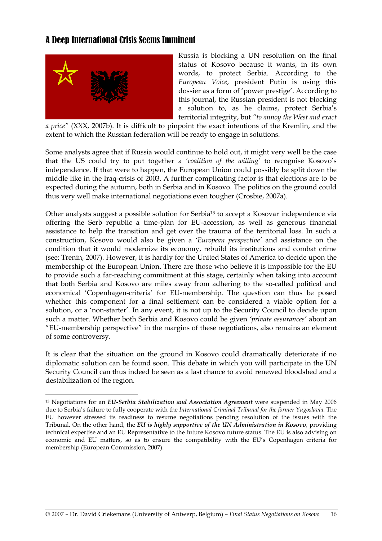## A Deep International Crisis Seems Imminent



 $\overline{a}$ 

Russia is blocking a UN resolution on the final status of Kosovo because it wants, in its own words, to protect Serbia. According to the *European Voice*, president Putin is using this dossier as a form of 'power prestige'. According to this journal, the Russian president is not blocking a solution to, as he claims, protect Serbia's territorial integrity, but *"to annoy the West and exact* 

*a price"* (XXX, 2007b). It is difficult to pinpoint the exact intentions of the Kremlin, and the extent to which the Russian federation will be ready to engage in solutions.

Some analysts agree that if Russia would continue to hold out, it might very well be the case that the US could try to put together a *'coalition of the willing'* to recognise Kosovo's independence. If that were to happen, the European Union could possibly be split down the middle like in the Iraq-crisis of 2003. A further complicating factor is that elections are to be expected during the autumn, both in Serbia and in Kosovo. The politics on the ground could thus very well make international negotiations even tougher (Crosbie, 2007a).

Other analysts suggest a possible solution for Serbia13 to accept a Kosovar independence via offering the Serb republic a time-plan for EU-accession, as well as generous financial assistance to help the transition and get over the trauma of the territorial loss. In such a construction, Kosovo would also be given a *'European perspective'* and assistance on the condition that it would modernize its economy, rebuild its institutions and combat crime (see: Trenin, 2007). However, it is hardly for the United States of America to decide upon the membership of the European Union. There are those who believe it is impossible for the EU to provide such a far-reaching commitment at this stage, certainly when taking into account that both Serbia and Kosovo are miles away from adhering to the so-called political and economical 'Copenhagen-criteria' for EU-membership. The question can thus be posed whether this component for a final settlement can be considered a viable option for a solution, or a 'non-starter'. In any event, it is not up to the Security Council to decide upon such a matter. Whether both Serbia and Kosovo could be given *'private assurances'* about an "EU-membership perspective" in the margins of these negotiations, also remains an element of some controversy.

It is clear that the situation on the ground in Kosovo could dramatically deteriorate if no diplomatic solution can be found soon. This debate in which you will participate in the UN Security Council can thus indeed be seen as a last chance to avoid renewed bloodshed and a destabilization of the region.

<sup>13</sup> Negotiations for an *EU-Serbia Stabilization and Association Agreement* were suspended in May 2006 due to Serbia's failure to fully cooperate with the *International Criminal Tribunal for the former Yugoslavia*. The EU however stressed its readiness to resume negotiations pending resolution of the issues with the Tribunal. On the other hand, the *EU is highly supportive of the UN Administration in Kosovo*, providing technical expertise and an EU Representative to the future Kosovo future status. The EU is also advising on economic and EU matters, so as to ensure the compatibility with the EU's Copenhagen criteria for membership (European Commission, 2007).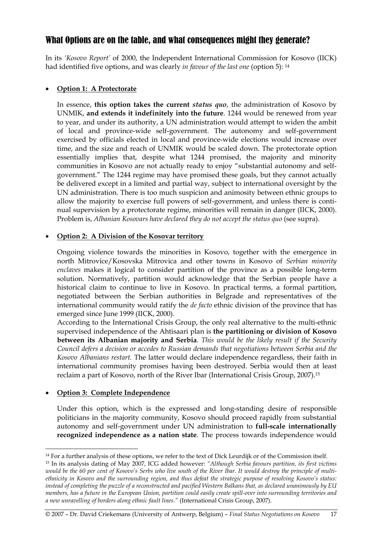## What Options are on the table, and what consequences might they generate?

In its *'Kosovo Report'* of 2000, the Independent International Commission for Kosovo (IICK) had identified five options, and was clearly *in favour of the last one* (option 5): 14

#### • **Option 1: A Protectorate**

In essence, **this option takes the current** *status quo*, the administration of Kosovo by UNMIK, **and extends it indefinitely into the future**. 1244 would be renewed from year to year, and under its authority, a UN administration would attempt to widen the ambit of local and province-wide self-government. The autonomy and self-government exercised by officials elected in local and province-wide elections would increase over time, and the size and reach of UNMIK would be scaled down. The protectorate option essentially implies that, despite what 1244 promised, the majority and minority communities in Kosovo are not actually ready to enjoy "substantial autonomy and selfgovernment." The 1244 regime may have promised these goals, but they cannot actually be delivered except in a limited and partial way, subject to international oversight by the UN administration. There is too much suspicion and animosity between ethnic groups to allow the majority to exercise full powers of self-government, and unless there is continual supervision by a protectorate regime, minorities will remain in danger (IICK, 2000). Problem is, *Albanian Kosovars have declared they do not accept the status quo* (see supra).

#### • **Option 2: A Division of the Kosovar territory**

Ongoing violence towards the minorities in Kosovo, together with the emergence in north Mitrovice/Kosovska Mitrovica and other towns in Kosovo of *Serbian minority enclaves* makes it logical to consider partition of the province as a possible long-term solution. Normatively, partition would acknowledge that the Serbian people have a historical claim to continue to live in Kosovo. In practical terms, a formal partition, negotiated between the Serbian authorities in Belgrade and representatives of the international community would ratify the *de facto* ethnic division of the province that has emerged since June 1999 (IICK, 2000).

According to the International Crisis Group, the only real alternative to the multi-ethnic supervised independence of the Ahtisaari plan is **the partitioning or division of Kosovo between its Albanian majority and Serbia**. *This would be the likely result if the Security Council defers a decision or accedes to Russian demands that negotiations between Serbia and the Kosovo Albanians restart.* The latter would declare independence regardless, their faith in international community promises having been destroyed. Serbia would then at least reclaim a part of Kosovo, north of the River Ibar (International Crisis Group, 2007).15

## • **Option 3: Complete Independence**

 $\overline{a}$ 

Under this option, which is the expressed and long-standing desire of responsible politicians in the majority community, Kosovo should proceed rapidly from substantial autonomy and self-government under UN administration to **full-scale internationally recognized independence as a nation state**. The process towards independence would

<sup>&</sup>lt;sup>14</sup> For a further analysis of these options, we refer to the text of Dick Leurdijk or of the Commission itself.<br><sup>15</sup> In its analysis dating of May 2007, ICG added however: "Although Serbia favours partition, its first vi *would be the 60 per cent of Kosovo's Serbs who live south of the River Ibar. It would destroy the principle of multiethnicity in Kosovo and the surrounding region, and thus defeat the strategic purpose of resolving Kosovo's status: instead of completing the puzzle of a reconstructed and pacified Western Balkans that, as declared unanimously by EU members, has a future in the European Union, partition could easily create spill-over into surrounding territories and a new unravelling of borders along ethnic fault lines."* (International Crisis Group, 2007).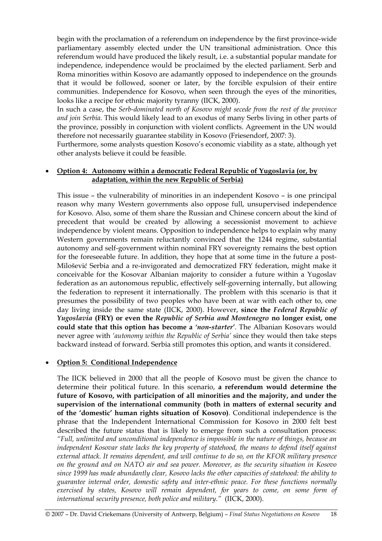begin with the proclamation of a referendum on independence by the first province-wide parliamentary assembly elected under the UN transitional administration. Once this referendum would have produced the likely result, i.e. a substantial popular mandate for independence, independence would be proclaimed by the elected parliament. Serb and Roma minorities within Kosovo are adamantly opposed to independence on the grounds that it would be followed, sooner or later, by the forcible expulsion of their entire communities. Independence for Kosovo, when seen through the eyes of the minorities, looks like a recipe for ethnic majority tyranny (IICK, 2000).

In such a case, the *Serb-dominated north of Kosovo might secede from the rest of the province and join Serbia*. This would likely lead to an exodus of many Serbs living in other parts of the province, possibly in conjunction with violent conflicts. Agreement in the UN would therefore not necessarily guarantee stability in Kosovo (Friesendorf, 2007: 3).

Furthermore, some analysts question Kosovo's economic viability as a state, although yet other analysts believe it could be feasible.

#### • **Option 4: Autonomy within a democratic Federal Republic of Yugoslavia (or, by adaptation, within the new Republic of Serbia)**

This issue – the vulnerability of minorities in an independent Kosovo – is one principal reason why many Western governments also oppose full, unsupervised independence for Kosovo. Also, some of them share the Russian and Chinese concern about the kind of precedent that would be created by allowing a secessionist movement to achieve independence by violent means. Opposition to independence helps to explain why many Western governments remain reluctantly convinced that the 1244 regime, substantial autonomy and self-government within nominal FRY sovereignty remains the best option for the foreseeable future. In addition, they hope that at some time in the future a post-Milošević Serbia and a re-invigorated and democratized FRY federation, might make it conceivable for the Kosovar Albanian majority to consider a future within a Yugoslav federation as an autonomous republic, effectively self-governing internally, but allowing the federation to represent it internationally. The problem with this scenario is that it presumes the possibility of two peoples who have been at war with each other to, one day living inside the same state (IICK, 2000). However, **since the** *Federal Republic of Yugoslavia* **(FRY) or even the** *Republic of Serbia and Montenegro* **no longer exist, one could state that this option has become a** *'non-starter'*. The Albanian Kosovars would never agree with *'autonomy within the Republic of Serbia'* since they would then take steps backward instead of forward. Serbia still promotes this option, and wants it considered.

#### • **Option 5: Conditional Independence**

The IICK believed in 2000 that all the people of Kosovo must be given the chance to determine their political future. In this scenario, **a referendum would determine the future of Kosovo, with participation of all minorities and the majority, and under the supervision of the international community (both in matters of external security and of the 'domestic' human rights situation of Kosovo)**. Conditional independence is the phrase that the Independent International Commission for Kosovo in 2000 felt best described the future status that is likely to emerge from such a consultation process: *"Full, unlimited and unconditional independence is impossible in the nature of things, because an independent Kosovar state lacks the key property of statehood, the means to defend itself against external attack. It remains dependent, and will continue to do so, on the KFOR military presence on the ground and on NATO air and sea power. Moreover, as the security situation in Kosovo since 1999 has made abundantly clear, Kosovo lacks the other capacities of statehood: the ability to guarantee internal order, domestic safety and inter-ethnic peace. For these functions normally exercised by states, Kosovo will remain dependent, for years to come, on some form of international security presence, both police and military."* (IICK, 2000).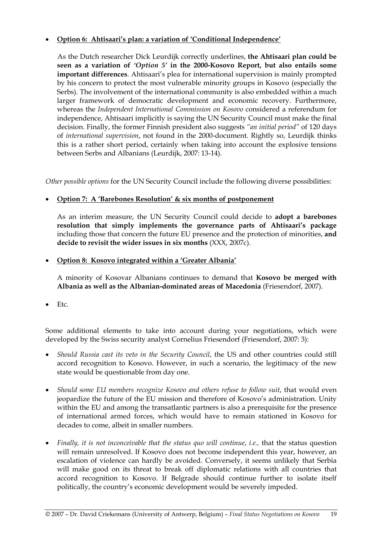#### • **Option 6: Ahtisaari's plan: a variation of 'Conditional Independence'**

As the Dutch researcher Dick Leurdijk correctly underlines, **the Ahtisaari plan could be seen as a variation of** *'Option 5'* **in the 2000-Kosovo Report, but also entails some important differences**. Ahtisaari's plea for international supervision is mainly prompted by his concern to protect the most vulnerable minority groups in Kosovo (especially the Serbs). The involvement of the international community is also embedded within a much larger framework of democratic development and economic recovery. Furthermore, whereas the *Independent International Commission on Kosovo* considered a referendum for independence, Ahtisaari implicitly is saying the UN Security Council must make the final decision. Finally, the former Finnish president also suggests *"an initial period"* of 120 days of *international supervision*, not found in the 2000-document. Rightly so, Leurdijk thinks this is a rather short period, certainly when taking into account the explosive tensions between Serbs and Albanians (Leurdijk, 2007: 13-14).

*Other possible options* for the UN Security Council include the following diverse possibilities:

#### • **Option 7: A 'Barebones Resolution' & six months of postponement**

As an interim measure, the UN Security Council could decide to **adopt a barebones resolution that simply implements the governance parts of Ahtisaari's package** including those that concern the future EU presence and the protection of minorities, **and decide to revisit the wider issues in six months** (XXX, 2007c).

#### • **Option 8: Kosovo integrated within a 'Greater Albania'**

A minority of Kosovar Albanians continues to demand that **Kosovo be merged with Albania as well as the Albanian-dominated areas of Macedonia** (Friesendorf, 2007).

• Etc.

Some additional elements to take into account during your negotiations, which were developed by the Swiss security analyst Cornelius Friesendorf (Friesendorf, 2007: 3):

- *Should Russia cast its veto in the Security Council*, the US and other countries could still accord recognition to Kosovo. However, in such a scenario, the legitimacy of the new state would be questionable from day one.
- *Should some EU members recognize Kosovo and others refuse to follow suit*, that would even jeopardize the future of the EU mission and therefore of Kosovo's administration. Unity within the EU and among the transatlantic partners is also a prerequisite for the presence of international armed forces, which would have to remain stationed in Kosovo for decades to come, albeit in smaller numbers.
- *Finally, it is not inconceivable that the status quo will continue, i.e., that the status question* will remain unresolved. If Kosovo does not become independent this year, however, an escalation of violence can hardly be avoided. Conversely, it seems unlikely that Serbia will make good on its threat to break off diplomatic relations with all countries that accord recognition to Kosovo. If Belgrade should continue further to isolate itself politically, the country's economic development would be severely impeded.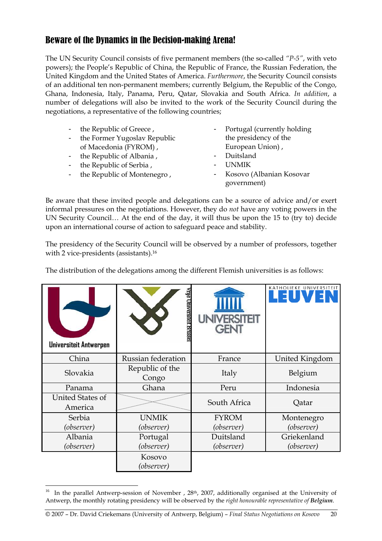## Beware of the Dynamics in the Decision-making Arena!

The UN Security Council consists of five permanent members (the so-called *"P-5"*, with veto powers); the People's Republic of China, the Republic of France, the Russian Federation, the United Kingdom and the United States of America. *Furthermore*, the Security Council consists of an additional ten non-permanent members; currently Belgium, the Republic of the Congo, Ghana, Indonesia, Italy, Panama, Peru, Qatar, Slovakia and South Africa. *In addition*, a number of delegations will also be invited to the work of the Security Council during the negotiations, a representative of the following countries;

- the Republic of Greece,
- the Former Yugoslav Republic of Macedonia (FYROM) ,
- the Republic of Albania ,
- the Republic of Serbia ,

 $\overline{a}$ 

- the Republic of Montenegro ,
- Portugal (currently holding) the presidency of the European Union) ,
- Duitsland
- UNMIK
- Kosovo (Albanian Kosovar government)

Be aware that these invited people and delegations can be a source of advice and/or exert informal pressures on the negotiations. However, they do *not* have any voting powers in the UN Security Council… At the end of the day, it will thus be upon the 15 to (try to) decide upon an international course of action to safeguard peace and stability.

The presidency of the Security Council will be observed by a number of professors, together with 2 vice-presidents (assistants).16

The distribution of the delegations among the different Flemish universities is as follows:

| Universiteit Antwerpen      | λπje<br>myersiteit<br>Brusse |              | KATHOLIEKE UNIVERSITEIT |
|-----------------------------|------------------------------|--------------|-------------------------|
| China                       | Russian federation           | France       | United Kingdom          |
| Slovakia                    | Republic of the<br>Congo     | Italy        | Belgium                 |
| Panama                      | Ghana                        | Peru         | Indonesia               |
| United States of<br>America | $\sim$                       | South Africa | Qatar                   |
| Serbia                      | <b>UNMIK</b>                 | <b>FYROM</b> | Montenegro              |
| (observer)                  | (observer)                   | (observer)   | (observer)              |
| Albania                     | Portugal                     | Duitsland    | Griekenland             |
| (observer)                  | (observer)                   | (observer)   | (observer)              |
|                             | Kosovo<br>(observer)         |              |                         |

<sup>&</sup>lt;sup>16</sup> In the parallel Antwerp-session of November , 28<sup>th</sup>, 2007, additionally organised at the University of Antwerp, the monthly rotating presidency will be observed by the *right honourable representative of Belgium*.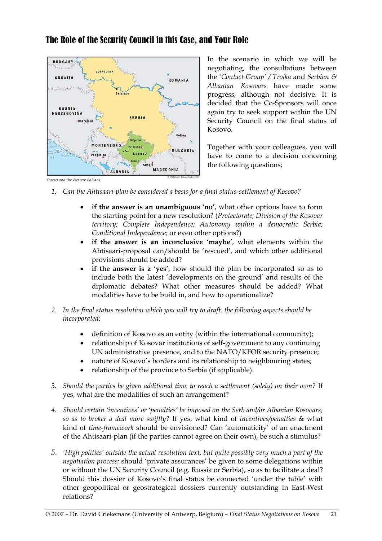## The Role of the Security Council in this Case, and Your Role



In the scenario in which we will be negotiating, the consultations between the *'Contact Group' / Troika* and *Serbian & Albanian Kosovars* have made some progress, although not decisive. It is decided that the Co-Sponsors will once again try to seek support within the UN Security Council on the final status of Kosovo.

Together with your colleagues, you will have to come to a decision concerning the following questions;

- *1. Can the Ahtisaari-plan be considered a basis for a final status-settlement of Kosovo?* 
	- **if the answer is an unambiguous 'no'**, what other options have to form the starting point for a new resolution? (*Protectorate; Division of the Kosovar territory; Complete Independence; Autonomy within a democratic Serbia; Conditional Independence;* or even other options?)
	- **if the answer is an inconclusive 'maybe'**, what elements within the Ahtisaari-proposal can/should be 'rescued', and which other additional provisions should be added?
	- **if the answer is a 'yes'**, how should the plan be incorporated so as to include both the latest 'developments on the ground' and results of the diplomatic debates? What other measures should be added? What modalities have to be build in, and how to operationalize?
- *2. In the final status resolution which you will try to draft, the following aspects should be incorporated:* 
	- definition of Kosovo as an entity (within the international community);
	- relationship of Kosovar institutions of self-government to any continuing UN administrative presence, and to the NATO/KFOR security presence;
	- nature of Kosovo's borders and its relationship to neighbouring states;
	- relationship of the province to Serbia (if applicable).
- *3. Should the parties be given additional time to reach a settlement (solely) on their own?* If yes, what are the modalities of such an arrangement?
- *4. Should certain 'incentives' or 'penalties' be imposed on the Serb and/or Albanian Kosovars, so as to broker a deal more swiftly?* If yes, what kind of *incentives/penalties* & what kind of *time-framework* should be envisioned? Can 'automaticity' of an enactment of the Ahtisaari-plan (if the parties cannot agree on their own), be such a stimulus?
- *5. 'High politics' outside the actual resolution text, but quite possibly very much a part of the negotiation process;* should 'private assurances' be given to some delegations within or without the UN Security Council (e.g. Russia or Serbia), so as to facilitate a deal? Should this dossier of Kosovo's final status be connected 'under the table' with other geopolitical or geostrategical dossiers currently outstanding in East-West relations?

Kosovo and the Western Balkans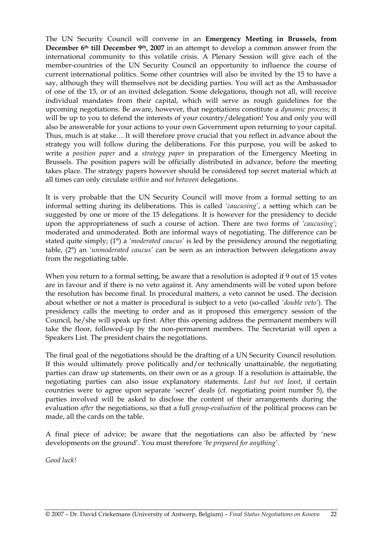The UN Security Council will convene in an **Emergency Meeting in Brussels, from December 6th till December 9th, 2007** in an attempt to develop a common answer from the international community to this volatile crisis. A Plenary Session will give each of the member-countries of the UN Security Council an opportunity to influence the course of current international politics. Some other countries will also be invited by the 15 to have a say, although they will themselves not be deciding parties. You will act as the Ambassador of one of the 15, or of an invited delegation. Some delegations, though not all, will receive individual mandates from their capital, which will serve as rough guidelines for the upcoming negotiations. Be aware, however, that negotiations constitute a *dynamic process*; it will be up to you to defend the interests of your country/delegation! You and only you will also be answerable for your actions to your own Government upon returning to your capital. Thus, much is at stake… It will therefore prove crucial that you reflect in advance about the strategy you will follow during the deliberations. For this purpose, you will be asked to write a *position paper* and a *strategy paper* in preparation of the Emergency Meeting in Brussels. The position papers will be officially distributed in advance, before the meeting takes place. The strategy papers however should be considered top secret material which at all times can only circulate *within* and *not between* delegations.

It is very probable that the UN Security Council will move from a formal setting to an informal setting during its deliberations. This is called *'caucusing'*, a setting which can be suggested by one or more of the 15 delegations. It is however for the presidency to decide upon the appropriateness of such a course of action. There are two forms of *'caucusing'*; moderated and unmoderated. Both are informal ways of negotiating. The difference can be stated quite simply; (1°) a *'moderated caucus'* is led by the presidency around the negotiating table, (2°) an *'unmoderated caucus'* can be seen as an interaction between delegations away from the negotiating table.

When you return to a formal setting, be aware that a resolution is adopted if 9 out of 15 votes are in favour and if there is no veto against it. Any amendments will be voted upon before the resolution has become final. In procedural matters, a veto cannot be used. The decision about whether or not a matter is procedural is subject to a veto (so-called *'double veto'*). The presidency calls the meeting to order and as it proposed this emergency session of the Council, he/she will speak up first. After this opening address the permanent members will take the floor, followed-up by the non-permanent members. The Secretariat will open a Speakers List. The president chairs the negotiations.

The final goal of the negotiations should be the drafting of a UN Security Council resolution. If this would ultimately prove politically and/or technically unattainable, the negotiating parties can draw up statements, on their own or as a group. If a resolution is attainable, the negotiating parties can also issue explanatory statements. *Last but not least*, if certain countries were to agree upon separate 'secret' deals (cf. negotiating point number 5), the parties involved will be asked to disclose the content of their arrangements during the evaluation *after* the negotiations, so that a full *group-evaluation* of the political process can be made, all the cards on the table.

A final piece of advice; be aware that the negotiations can also be affected by 'new developments on the ground'. You must therefore *'be prepared for anything'*.

*Good luck!*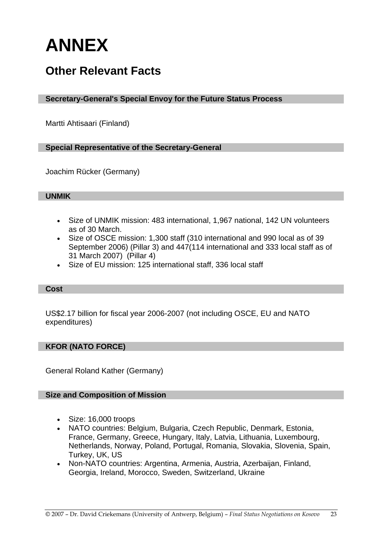# **ANNEX**

# **Other Relevant Facts**

## **Secretary-General's Special Envoy for the Future Status Process**

Martti Ahtisaari (Finland)

#### **Special Representative of the Secretary-General**

Joachim Rücker (Germany)

#### **UNMIK**

- Size of UNMIK mission: 483 international, 1,967 national, 142 UN volunteers as of 30 March.
- Size of OSCE mission: 1,300 staff (310 international and 990 local as of 39 September 2006) (Pillar 3) and 447(114 international and 333 local staff as of 31 March 2007) (Pillar 4)
- Size of EU mission: 125 international staff, 336 local staff

#### **Cost**

US\$2.17 billion for fiscal year 2006-2007 (not including OSCE, EU and NATO expenditures)

#### **KFOR (NATO FORCE)**

General Roland Kather (Germany)

#### **Size and Composition of Mission**

- Size: 16,000 troops
- NATO countries: Belgium, Bulgaria, Czech Republic, Denmark, Estonia, France, Germany, Greece, Hungary, Italy, Latvia, Lithuania, Luxembourg, Netherlands, Norway, Poland, Portugal, Romania, Slovakia, Slovenia, Spain, Turkey, UK, US
- Non-NATO countries: Argentina, Armenia, Austria, Azerbaijan, Finland, Georgia, Ireland, Morocco, Sweden, Switzerland, Ukraine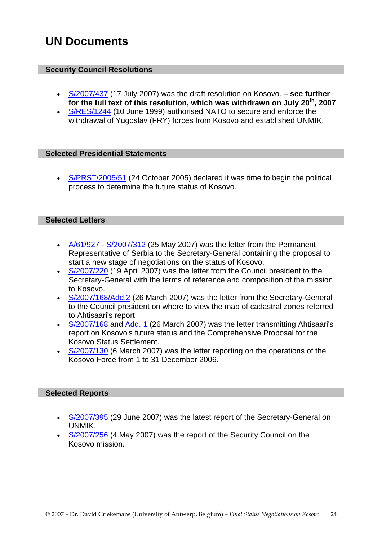# **UN Documents**

## **Security Council Resolutions**

- S/2007/437 (17 July 2007) was the draft resolution on Kosovo. **see further for the full text of this resolution, which was withdrawn on July 20th, 2007**
- S/RES/1244 (10 June 1999) authorised NATO to secure and enforce the withdrawal of Yugoslav (FRY) forces from Kosovo and established UNMIK.

#### **Selected Presidential Statements**

• S/PRST/2005/51 (24 October 2005) declared it was time to begin the political process to determine the future status of Kosovo.

#### **Selected Letters**

- A/61/927 S/2007/312 (25 May 2007) was the letter from the Permanent Representative of Serbia to the Secretary-General containing the proposal to start a new stage of negotiations on the status of Kosovo.
- S/2007/220 (19 April 2007) was the letter from the Council president to the Secretary-General with the terms of reference and composition of the mission to Kosovo.
- S/2007/168/Add.2 (26 March 2007) was the letter from the Secretary-General to the Council president on where to view the map of cadastral zones referred to Ahtisaari's report.
- S/2007/168 and Add. 1 (26 March 2007) was the letter transmitting Ahtisaari's report on Kosovo's future status and the Comprehensive Proposal for the Kosovo Status Settlement.
- S/2007/130 (6 March 2007) was the letter reporting on the operations of the Kosovo Force from 1 to 31 December 2006.

#### **Selected Reports**

- S/2007/395 (29 June 2007) was the latest report of the Secretary-General on UNMIK.
- S/2007/256 (4 May 2007) was the report of the Security Council on the Kosovo mission.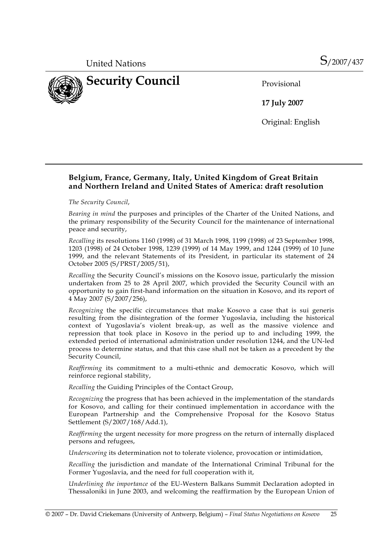

**17 July 2007** 

Original: English

## **Belgium, France, Germany, Italy, United Kingdom of Great Britain and Northern Ireland and United States of America: draft resolution**

*The Security Council*,

*Bearing in mind* the purposes and principles of the Charter of the United Nations, and the primary responsibility of the Security Council for the maintenance of international peace and security,

*Recalling* its resolutions 1160 (1998) of 31 March 1998, 1199 (1998) of 23 September 1998, 1203 (1998) of 24 October 1998, 1239 (1999) of 14 May 1999, and 1244 (1999) of 10 June 1999, and the relevant Statements of its President, in particular its statement of 24 October 2005 (S/PRST/2005/51),

*Recalling* the Security Council's missions on the Kosovo issue, particularly the mission undertaken from 25 to 28 April 2007, which provided the Security Council with an opportunity to gain first-hand information on the situation in Kosovo, and its report of 4 May 2007 (S/2007/256),

*Recognizing* the specific circumstances that make Kosovo a case that is sui generis resulting from the disintegration of the former Yugoslavia, including the historical context of Yugoslavia's violent break-up, as well as the massive violence and repression that took place in Kosovo in the period up to and including 1999, the extended period of international administration under resolution 1244, and the UN-led process to determine status, and that this case shall not be taken as a precedent by the Security Council,

*Reaffirming* its commitment to a multi-ethnic and democratic Kosovo, which will reinforce regional stability,

*Recalling* the Guiding Principles of the Contact Group,

*Recognizing* the progress that has been achieved in the implementation of the standards for Kosovo, and calling for their continued implementation in accordance with the European Partnership and the Comprehensive Proposal for the Kosovo Status Settlement (S/2007/168/Add.1),

*Reaffirming* the urgent necessity for more progress on the return of internally displaced persons and refugees,

*Underscoring* its determination not to tolerate violence, provocation or intimidation,

*Recalling* the jurisdiction and mandate of the International Criminal Tribunal for the Former Yugoslavia, and the need for full cooperation with it,

*Underlining the importance* of the EU-Western Balkans Summit Declaration adopted in Thessaloniki in June 2003, and welcoming the reaffirmation by the European Union of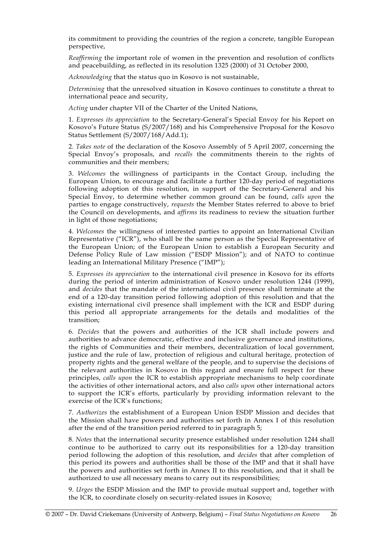its commitment to providing the countries of the region a concrete, tangible European perspective,

*Reaffirming* the important role of women in the prevention and resolution of conflicts and peacebuilding, as reflected in its resolution 1325 (2000) of 31 October 2000,

*Acknowledging* that the status quo in Kosovo is not sustainable,

*Determining* that the unresolved situation in Kosovo continues to constitute a threat to international peace and security,

*Acting* under chapter VII of the Charter of the United Nations,

 1. *Expresses its appreciation* to the Secretary-General's Special Envoy for his Report on Kosovo's Future Status (S/2007/168) and his Comprehensive Proposal for the Kosovo Status Settlement (S/2007/168/Add.1);

 2. *Takes note* of the declaration of the Kosovo Assembly of 5 April 2007, concerning the Special Envoy's proposals, and *recalls* the commitments therein to the rights of communities and their members;

 3. *Welcomes* the willingness of participants in the Contact Group, including the European Union, to encourage and facilitate a further 120-day period of negotiations following adoption of this resolution, in support of the Secretary-General and his Special Envoy, to determine whether common ground can be found, *calls upon* the parties to engage constructively, *requests* the Member States referred to above to brief the Council on developments, and *affirms* its readiness to review the situation further in light of those negotiations;

 4. *Welcomes* the willingness of interested parties to appoint an International Civilian Representative ("ICR"), who shall be the same person as the Special Representative of the European Union; of the European Union to establish a European Security and Defense Policy Rule of Law mission ("ESDP Mission"); and of NATO to continue leading an International Military Presence ("IMP");

 5. *Expresses its appreciation* to the international civil presence in Kosovo for its efforts during the period of interim administration of Kosovo under resolution 1244 (1999), and *decides* that the mandate of the international civil presence shall terminate at the end of a 120-day transition period following adoption of this resolution and that the existing international civil presence shall implement with the ICR and ESDP during this period all appropriate arrangements for the details and modalities of the transition;

 6. *Decides* that the powers and authorities of the ICR shall include powers and authorities to advance democratic, effective and inclusive governance and institutions, the rights of Communities and their members, decentralization of local government, justice and the rule of law, protection of religious and cultural heritage, protection of property rights and the general welfare of the people, and to supervise the decisions of the relevant authorities in Kosovo in this regard and ensure full respect for these principles, *calls upon* the ICR to establish appropriate mechanisms to help coordinate the activities of other international actors, and also *calls upon* other international actors to support the ICR's efforts, particularly by providing information relevant to the exercise of the ICR's functions;

 7. *Authorizes* the establishment of a European Union ESDP Mission and decides that the Mission shall have powers and authorities set forth in Annex I of this resolution after the end of the transition period referred to in paragraph 5;

 8. *Notes* that the international security presence established under resolution 1244 shall continue to be authorized to carry out its responsibilities for a 120-day transition period following the adoption of this resolution, and *decides* that after completion of this period its powers and authorities shall be those of the IMP and that it shall have the powers and authorities set forth in Annex II to this resolution, and that it shall be authorized to use all necessary means to carry out its responsibilities;

 9. *Urges* the ESDP Mission and the IMP to provide mutual support and, together with the ICR, to coordinate closely on security-related issues in Kosovo;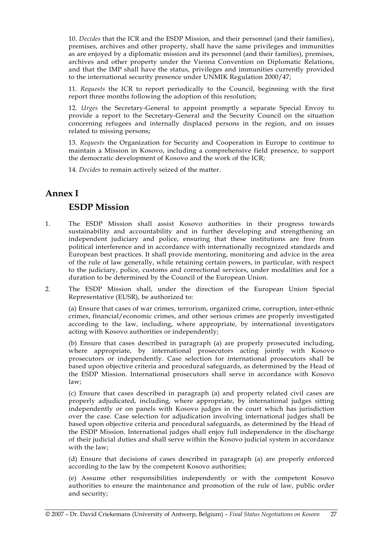10. *Decides* that the ICR and the ESDP Mission, and their personnel (and their families), premises, archives and other property, shall have the same privileges and immunities as are enjoyed by a diplomatic mission and its personnel (and their families), premises, archives and other property under the Vienna Convention on Diplomatic Relations, and that the IMP shall have the status, privileges and immunities currently provided to the international security presence under UNMIK Regulation 2000/47;

 11. *Requests* the ICR to report periodically to the Council, beginning with the first report three months following the adoption of this resolution;

 12. *Urges* the Secretary-General to appoint promptly a separate Special Envoy to provide a report to the Secretary-General and the Security Council on the situation concerning refugees and internally displaced persons in the region, and on issues related to missing persons;

 13. *Requests* the Organization for Security and Cooperation in Europe to continue to maintain a Mission in Kosovo, including a comprehensive field presence, to support the democratic development of Kosovo and the work of the ICR;

14. *Decides* to remain actively seized of the matter.

## **Annex I**

## **ESDP Mission**

- 1. The ESDP Mission shall assist Kosovo authorities in their progress towards sustainability and accountability and in further developing and strengthening an independent judiciary and police, ensuring that these institutions are free from political interference and in accordance with internationally recognized standards and European best practices. It shall provide mentoring, monitoring and advice in the area of the rule of law generally, while retaining certain powers, in particular, with respect to the judiciary, police, customs and correctional services, under modalities and for a duration to be determined by the Council of the European Union.
- 2. The ESDP Mission shall, under the direction of the European Union Special Representative (EUSR), be authorized to:

 (a) Ensure that cases of war crimes, terrorism, organized crime, corruption, inter-ethnic crimes, financial/economic crimes, and other serious crimes are properly investigated according to the law, including, where appropriate, by international investigators acting with Kosovo authorities or independently;

 (b) Ensure that cases described in paragraph (a) are properly prosecuted including, where appropriate, by international prosecutors acting jointly with Kosovo prosecutors or independently. Case selection for international prosecutors shall be based upon objective criteria and procedural safeguards, as determined by the Head of the ESDP Mission. International prosecutors shall serve in accordance with Kosovo law;

 (c) Ensure that cases described in paragraph (a) and property related civil cases are properly adjudicated, including, where appropriate, by international judges sitting independently or on panels with Kosovo judges in the court which has jurisdiction over the case. Case selection for adjudication involving international judges shall be based upon objective criteria and procedural safeguards, as determined by the Head of the ESDP Mission. International judges shall enjoy full independence in the discharge of their judicial duties and shall serve within the Kosovo judicial system in accordance with the law;

 (d) Ensure that decisions of cases described in paragraph (a) are properly enforced according to the law by the competent Kosovo authorities;

 (e) Assume other responsibilities independently or with the competent Kosovo authorities to ensure the maintenance and promotion of the rule of law, public order and security;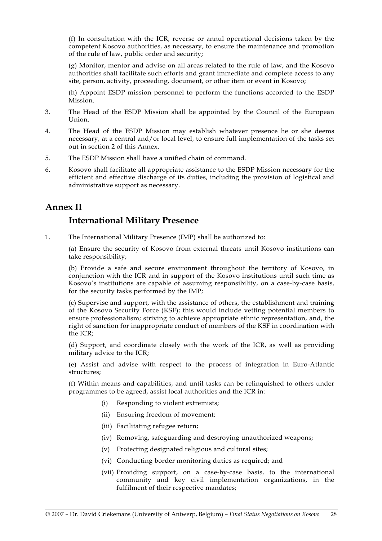(f) In consultation with the ICR, reverse or annul operational decisions taken by the competent Kosovo authorities, as necessary, to ensure the maintenance and promotion of the rule of law, public order and security;

 (g) Monitor, mentor and advise on all areas related to the rule of law, and the Kosovo authorities shall facilitate such efforts and grant immediate and complete access to any site, person, activity, proceeding, document, or other item or event in Kosovo;

 (h) Appoint ESDP mission personnel to perform the functions accorded to the ESDP Mission.

- 3. The Head of the ESDP Mission shall be appointed by the Council of the European Union.
- 4. The Head of the ESDP Mission may establish whatever presence he or she deems necessary, at a central and/or local level, to ensure full implementation of the tasks set out in section 2 of this Annex.
- 5. The ESDP Mission shall have a unified chain of command.
- 6. Kosovo shall facilitate all appropriate assistance to the ESDP Mission necessary for the efficient and effective discharge of its duties, including the provision of logistical and administrative support as necessary.

## **Annex II**

## **International Military Presence**

1. The International Military Presence (IMP) shall be authorized to:

 (a) Ensure the security of Kosovo from external threats until Kosovo institutions can take responsibility;

 (b) Provide a safe and secure environment throughout the territory of Kosovo, in conjunction with the ICR and in support of the Kosovo institutions until such time as Kosovo's institutions are capable of assuming responsibility, on a case-by-case basis, for the security tasks performed by the IMP;

 (c) Supervise and support, with the assistance of others, the establishment and training of the Kosovo Security Force (KSF); this would include vetting potential members to ensure professionalism; striving to achieve appropriate ethnic representation, and, the right of sanction for inappropriate conduct of members of the KSF in coordination with the ICR;

 (d) Support, and coordinate closely with the work of the ICR, as well as providing military advice to the ICR;

 (e) Assist and advise with respect to the process of integration in Euro-Atlantic structures;

 (f) Within means and capabilities, and until tasks can be relinquished to others under programmes to be agreed, assist local authorities and the ICR in:

- (i) Responding to violent extremists;
- (ii) Ensuring freedom of movement;
- (iii) Facilitating refugee return;
- (iv) Removing, safeguarding and destroying unauthorized weapons;
- (v) Protecting designated religious and cultural sites;
- (vi) Conducting border monitoring duties as required; and
- (vii) Providing support, on a case-by-case basis, to the international community and key civil implementation organizations, in the fulfilment of their respective mandates;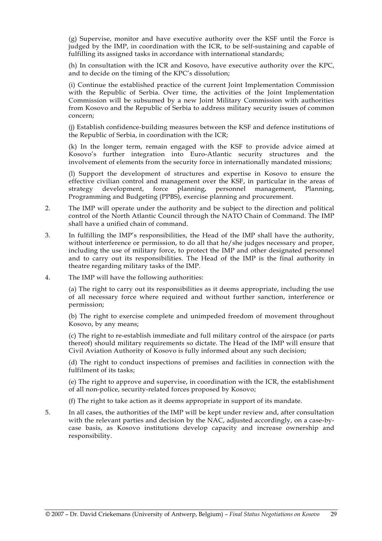(g) Supervise, monitor and have executive authority over the KSF until the Force is judged by the IMP, in coordination with the ICR, to be self-sustaining and capable of fulfilling its assigned tasks in accordance with international standards;

 (h) In consultation with the ICR and Kosovo, have executive authority over the KPC, and to decide on the timing of the KPC's dissolution;

 (i) Continue the established practice of the current Joint Implementation Commission with the Republic of Serbia. Over time, the activities of the Joint Implementation Commission will be subsumed by a new Joint Military Commission with authorities from Kosovo and the Republic of Serbia to address military security issues of common concern;

 (j) Establish confidence-building measures between the KSF and defence institutions of the Republic of Serbia, in coordination with the ICR;

 (k) In the longer term, remain engaged with the KSF to provide advice aimed at Kosovo's further integration into Euro-Atlantic security structures and the involvement of elements from the security force in internationally mandated missions;

 (l) Support the development of structures and expertise in Kosovo to ensure the effective civilian control and management over the KSF, in particular in the areas of strategy development, force planning, personnel management, Planning, Programming and Budgeting (PPBS), exercise planning and procurement.

- 2. The IMP will operate under the authority and be subject to the direction and political control of the North Atlantic Council through the NATO Chain of Command. The IMP shall have a unified chain of command.
- 3. In fulfilling the IMP's responsibilities, the Head of the IMP shall have the authority, without interference or permission, to do all that he/she judges necessary and proper, including the use of military force, to protect the IMP and other designated personnel and to carry out its responsibilities. The Head of the IMP is the final authority in theatre regarding military tasks of the IMP.
- 4. The IMP will have the following authorities:

 (a) The right to carry out its responsibilities as it deems appropriate, including the use of all necessary force where required and without further sanction, interference or permission;

 (b) The right to exercise complete and unimpeded freedom of movement throughout Kosovo, by any means;

 (c) The right to re-establish immediate and full military control of the airspace (or parts thereof) should military requirements so dictate. The Head of the IMP will ensure that Civil Aviation Authority of Kosovo is fully informed about any such decision;

 (d) The right to conduct inspections of premises and facilities in connection with the fulfilment of its tasks;

 (e) The right to approve and supervise, in coordination with the ICR, the establishment of all non-police, security-related forces proposed by Kosovo;

(f) The right to take action as it deems appropriate in support of its mandate.

5. In all cases, the authorities of the IMP will be kept under review and, after consultation with the relevant parties and decision by the NAC, adjusted accordingly, on a case-bycase basis, as Kosovo institutions develop capacity and increase ownership and responsibility.